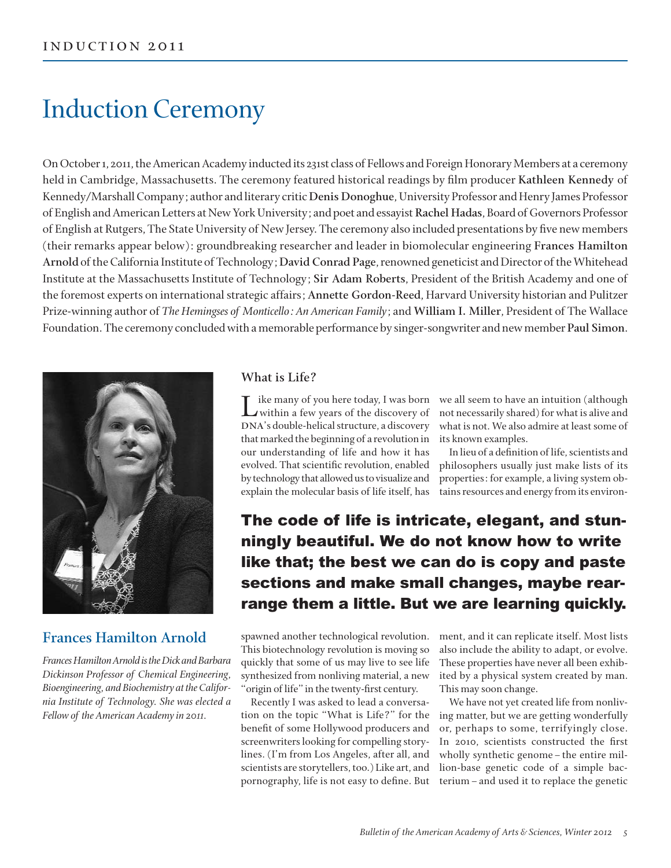# Induction Ceremony

On October 1, 2011, the American Academy inducted its 231st class of Fellows and Foreign Honorary Members at a ceremony held in Cambridge, Massachusetts. The ceremony featured historical readings by film producer Kathleen Kennedy of Kennedy/Marshall Company; author and literary critic **Denis Donoghue**, University Professor and Henry James Professor of English and American Letters at New York University; and poet and essayist **Rachel Hadas**, Board of Governors Professor of English at Rutgers, The State University of New Jersey. The ceremony also included presentations by five new members (their remarks appear below): groundbreaking researcher and leader in biomolecular engineering **Frances Hamilton Arnold** of the California Institute of Technology; **David Conrad Page**, renowned geneticist and Director of the Whitehead Institute at the Massachusetts Institute of Technology; **Sir Adam Roberts**, President of the British Academy and one of the foremost experts on international strategic affairs; **Annette Gordon-Reed**, Harvard University historian and Pulitzer Prize-winning author of *The Hemingses of Monticello: An American Family*; and **William I. Miller**, President of The Wallace Foundation. The ceremony concluded with a memorable performance by singer-songwriter and new member **Paul Simon**.



# **Frances Hamilton Arnold**

*Frances Hamilton Arnold is the Dick and Barbara Dickinson Professor of Chemical Engineering, Bioengineering, and Biochemistry at the California Institute of Technology. She was elected a Fellow of the American Academy in 2011.*

## **What is Life?**

Like many of you here today, I was born<br>within a few years of the discovery of DNA's double-helical structure, a discovery that marked the beginning of a revolution in our understanding of life and how it has evolved. That scientific revolution, enabled by technology that allowed us to visualize and explain the molecular basis of life itself, has

we all seem to have an intuition (although not necessarily shared) for what is alive and what is not. We also admire at least some of its known examples.

In lieu of a definition of life, scientists and philosophers usually just make lists of its properties: for example, a living system obtains resources and energy from its environ-

The code of life is intricate, elegant, and stunningly beautiful. We do not know how to write like that; the best we can do is copy and paste sections and make small changes, maybe rearrange them a little. But we are learning quickly.

spawned another technological revolution. This biotechnology revolution is moving so quickly that some of us may live to see life synthesized from nonliving material, a new "origin of life" in the twenty-first century.

Recently I was asked to lead a conversation on the topic "What is Life?" for the benefit of some Hollywood producers and screenwriters looking for compelling storylines. (I'm from Los Angeles, after all, and scientists are storytellers, too.) Like art, and pornography, life is not easy to define. But ment, and it can replicate itself. Most lists also include the ability to adapt, or evolve. These properties have never all been exhibited by a physical system created by man. This may soon change.

We have not yet created life from nonliving matter, but we are getting wonderfully or, perhaps to some, terrifyingly close. In 2010, scientists constructed the first wholly synthetic genome–the entire million-base genetic code of a simple bacterium–and used it to replace the genetic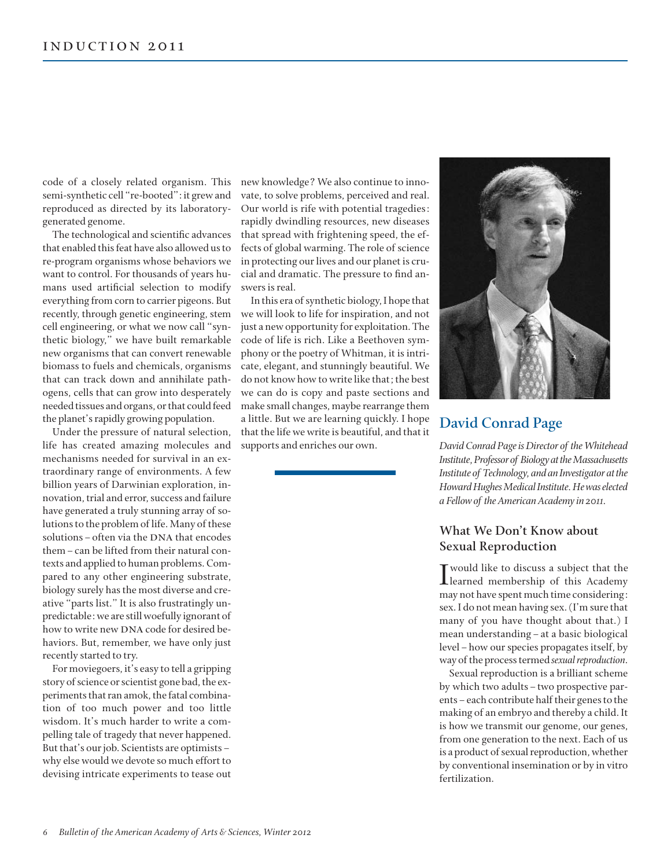code of a closely related organism. This semi-synthetic cell "re-booted": it grew and reproduced as directed by its laboratorygenerated genome.

The technological and scientific advances that enabled this feat have also allowed us to re-program organisms whose behaviors we want to control. For thousands of years humans used artificial selection to modify everything from corn to carrier pigeons. But recently, through genetic engineering, stem cell engineering, or what we now call "synthetic biology," we have built remarkable new organisms that can convert renewable biomass to fuels and chemicals, organisms that can track down and annihilate pathogens, cells that can grow into desperately needed tissues and organs, or that could feed the planet's rapidly growing population.

Under the pressure of natural selection, life has created amazing molecules and mechanisms needed for survival in an extraordinary range of environments. A few billion years of Darwinian exploration, innovation, trial and error, success and failure have generated a truly stunning array of solutions to the problem of life. Many of these solutions - often via the DNA that encodes them–can be lifted from their natural contexts and applied to human problems. Compared to any other engineering substrate, biology surely has the most diverse and creative "parts list." It is also frustratingly unpredictable: we are still woefully ignorant of how to write new DNA code for desired behaviors. But, remember, we have only just recently started to try.

For moviegoers, it's easy to tell a gripping story of science or scientist gone bad, the experiments that ran amok, the fatal combination of too much power and too little wisdom. It's much harder to write a compelling tale of tragedy that never happened. But that's our job. Scientists are optimists– why else would we devote so much effort to devising intricate experiments to tease out new knowledge? We also continue to innovate, to solve problems, perceived and real. Our world is rife with potential tragedies: rapidly dwindling resources, new diseases that spread with frightening speed, the effects of global warming. The role of science in protecting our lives and our planet is crucial and dramatic. The pressure to find answers is real.

In this era of synthetic biology, I hope that we will look to life for inspiration, and not just a new opportunity for exploitation. The code of life is rich. Like a Beethoven symphony or the poetry of Whitman, it is intricate, elegant, and stunningly beautiful. We do not know how to write like that; the best we can do is copy and paste sections and make small changes, maybe rearrange them a little. But we are learning quickly. I hope that the life we write is beautiful, and that it supports and enriches our own.



# **David Conrad Page**

*David Conrad Page is Director of the Whitehead Institute, Professor of Biology at the Massachusetts Institute of Technology, and an Investigator at the Howard Hughes Medical Institute. He was elected a Fellow of the American Academy in 2011.*

# **What We Don't Know about Sexual Reproduction**

I would like to discuss a subject that the<br>learned membership of this Academy T would like to discuss a subject that the may not have spent much time considering: sex. I do not mean having sex. (I'm sure that many of you have thought about that.) I mean understanding–at a basic biological level–how our species propagates itself, by way of the process termed *sexual reproduction*.

Sexual reproduction is a brilliant scheme by which two adults–two prospective parents–each contribute half their genes to the making of an embryo and thereby a child. It is how we transmit our genome, our genes, from one generation to the next. Each of us is a product of sexual reproduction, whether by conventional insemination or by in vitro fertilization.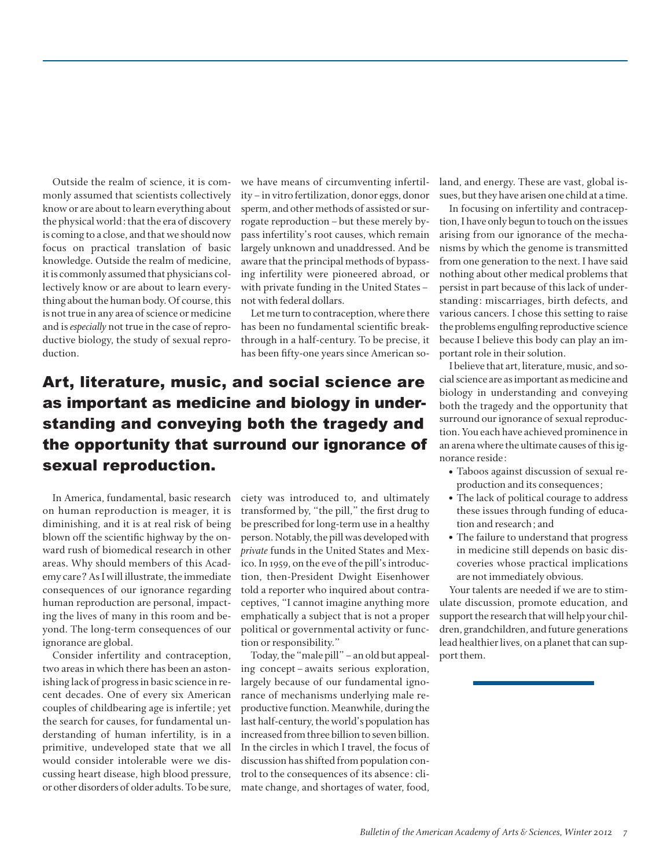Outside the realm of science, it is commonly assumed that scientists collectively know or are about to learn everything about the physical world: that the era of discovery is coming to a close, and that we should now focus on practical translation of basic knowledge. Outside the realm of medicine, it is commonly assumed that physicians collectively know or are about to learn everything about the human body. Of course, this is not true in any area of science or medicine and is *especially* not true in the case of reproductive biology, the study of sexual reproduction.

we have means of circumventing infertility–in vitro fertilization, donor eggs, donor sperm, and other methods of assisted or surrogate reproduction–but these merely bypass infertility's root causes, which remain largely unknown and unaddressed. And be aware that the principal methods of bypassing infertility were pioneered abroad, or with private funding in the United States– not with federal dollars.

Let me turn to contraception, where there has been no fundamental scientific breakthrough in a half-century. To be precise, it has been fifty-one years since American so-

# Art, literature, music, and social science are as important as medicine and biology in understanding and conveying both the tragedy and the opportunity that surround our ignorance of sexual reproduction.

In America, fundamental, basic research on human reproduction is meager, it is diminishing, and it is at real risk of being blown off the scientific highway by the onward rush of biomedical research in other areas. Why should members of this Academy care? As I will illustrate, the immediate consequences of our ignorance regarding human reproduction are personal, impacting the lives of many in this room and beyond. The long-term consequences of our ignorance are global.

Consider infertility and contraception, two areas in which there has been an astonishing lack of progress in basic science in recent decades. One of every six American couples of childbearing age is infertile; yet the search for causes, for fundamental understanding of human infertility, is in a primitive, undeveloped state that we all would consider intolerable were we discussing heart disease, high blood pressure, or other disorders of older adults. To be sure,

ciety was introduced to, and ultimately transformed by, "the pill," the first drug to be prescribed for long-term use in a healthy person. Notably, the pill was developed with *private* funds in the United States and Mexico. In 1959, on the eve of the pill's introduction, then-President Dwight Eisenhower told a reporter who inquired about contraceptives, "I cannot imagine anything more emphatically a subject that is not a proper political or governmental activity or function or responsibility."

Today, the "male pill"–an old but appealing concept–awaits serious exploration, largely because of our fundamental ignorance of mechanisms underlying male reproductive function. Meanwhile, during the last half-century, the world's population has increased from three billion to seven billion. In the circles in which I travel, the focus of discussion has shifted from population control to the consequences of its absence: climate change, and shortages of water, food, land, and energy. These are vast, global issues, but they have arisen one child at a time.

In focusing on infertility and contraception, I have only begun to touch on the issues arising from our ignorance of the mechanisms by which the genome is transmitted from one generation to the next. I have said nothing about other medical problems that persist in part because of this lack of understanding: miscarriages, birth defects, and various cancers. I chose this setting to raise the problems engulfing reproductive science because I believe this body can play an important role in their solution.

I believe that art, literature, music, and social science are as important as medicine and biology in understanding and conveying both the tragedy and the opportunity that surround our ignorance of sexual reproduction. You each have achieved prominence in an arena where the ultimate causes of this ignorance reside:

- Taboos against discussion of sexual reproduction and its consequences;
- The lack of political courage to address these issues through funding of education and research; and
- The failure to understand that progress in medicine still depends on basic discoveries whose practical implications are not immediately obvious.

Your talents are needed if we are to stimulate discussion, promote education, and support the research that will help your children, grandchildren, and future generations lead healthier lives, on a planet that can support them.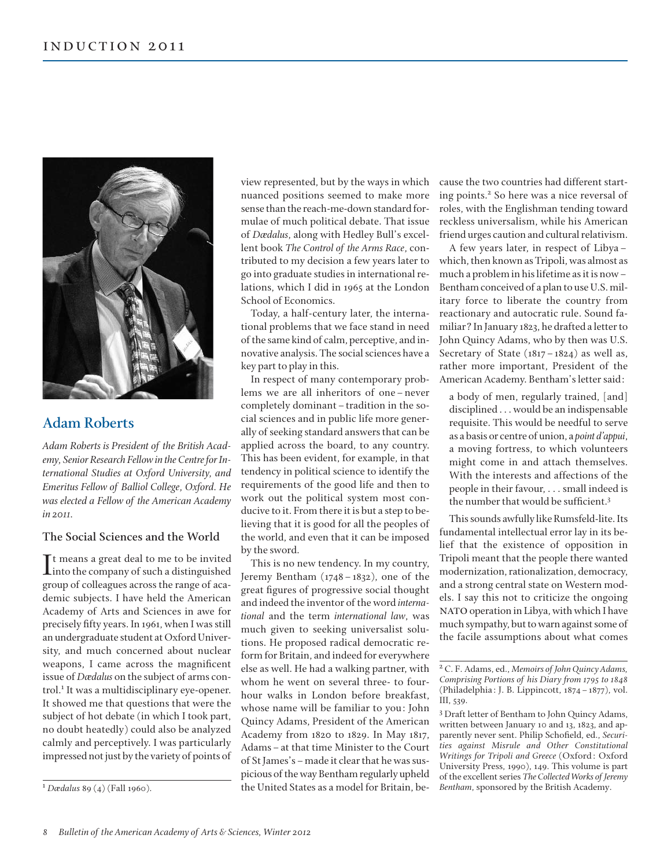

# **Adam Roberts**

*Adam Roberts is President of the British Academy, Senior Research Fellow in the Centre for International Studies at Oxford University, and Emeritus Fellow of Balliol College, Oxford. He was elected a Fellow of the American Academy in 2011.*

#### **The Social Sciences and the World**

It means a great deal to me to be invited<br>into the company of such a distinguished Tt means a great deal to me to be invited group of colleagues across the range of academic subjects. I have held the American Academy of Arts and Sciences in awe for precisely fifty years. In 1961, when I was still an undergraduate student at Oxford University, and much concerned about nuclear weapons, I came across the magnificent issue of *Dædalus* on the subject of arms control.<sup>1</sup> It was a multidisciplinary eye-opener. It showed me that questions that were the subject of hot debate (in which I took part, no doubt heatedly) could also be analyzed calmly and perceptively. I was particularly impressed not just by the variety of points of

<sup>1</sup> *Dædalus* 89 (4) (Fall 1960).

view represented, but by the ways in which nuanced positions seemed to make more sense than the reach-me-down standard formulae of much political debate. That issue of *Dædalus*, along with Hedley Bull's excellent book *The Control of the Arms Race*, contributed to my decision a few years later to go into graduate studies in international relations, which I did in 1965 at the London School of Economics.

Today, a half-century later, the international problems that we face stand in need of the same kind of calm, perceptive, and innovative analysis. The social sciences have a key part to play in this.

In respect of many contemporary problems we are all inheritors of one–never completely dominant–tradition in the social sciences and in public life more generally of seeking standard answers that can be applied across the board, to any country. This has been evident, for example, in that tendency in political science to identify the requirements of the good life and then to work out the political system most conducive to it. From there it is but a step to believing that it is good for all the peoples of the world, and even that it can be imposed by the sword.

This is no new tendency. In my country, Jeremy Bentham (1748–1832), one of the great figures of progressive social thought and indeed the inventor of the word *international* and the term *international law*, was much given to seeking universalist solutions. He proposed radical democratic reform for Britain, and indeed for everywhere else as well. He had a walking partner, with whom he went on several three- to fourhour walks in London before breakfast, whose name will be familiar to you: John Quincy Adams, President of the American Academy from 1820 to 1829. In May 1817, Adams–at that time Minister to the Court of St James's–made it clear that he was suspicious of the way Bentham regularly upheld the United States as a model for Britain, because the two countries had different starting points.<sup>2</sup> So here was a nice reversal of roles, with the Englishman tending toward reckless universalism, while his American friend urges caution and cultural relativism.

A few years later, in respect of Libya– which, then known as Tripoli, was almost as much a problem in his lifetime as it is now– Bentham conceived of a plan to use U.S. military force to liberate the country from reactionary and autocratic rule. Sound familiar? In January 1823, he drafted a letter to John Quincy Adams, who by then was U.S. Secretary of State (1817–1824) as well as, rather more important, President of the American Academy. Bentham's letter said:

a body of men, regularly trained, [and] disciplined . . . would be an indispensable requisite. This would be needful to serve as a basis or centre of union, a *point d'appui*, a moving fortress, to which volunteers might come in and attach themselves. With the interests and affections of the people in their favour, . . . small indeed is the number that would be sufficient.<sup>3</sup>

This sounds awfully like Rumsfeld-lite. Its fundamental intellectual error lay in its belief that the existence of opposition in Tripoli meant that the people there wanted modernization, rationalization, democracy, and a strong central state on Western models. I say this not to criticize the ongoing NATO operation in Libya, with which I have much sympathy, but to warn against some of the facile assumptions about what comes

<sup>3</sup> Draft letter of Bentham to John Quincy Adams, written between January 10 and 13, 1823, and apparently never sent. Philip Schofield, ed., *Securities against Misrule and Other Constitutional Writings for Tripoli and Greece* (Oxford: Oxford University Press, 1990), 149. This volume is part of the excellent series *The Collected Works of Jeremy Bentham*, sponsored by the British Academy.

<sup>2</sup> C. F. Adams, ed., *Memoirs of John Quincy Adams, Comprising Portions of his Diary from 1795 to 1848* (Philadelphia: J. B. Lippincott, 1874–1877), vol. III, 539.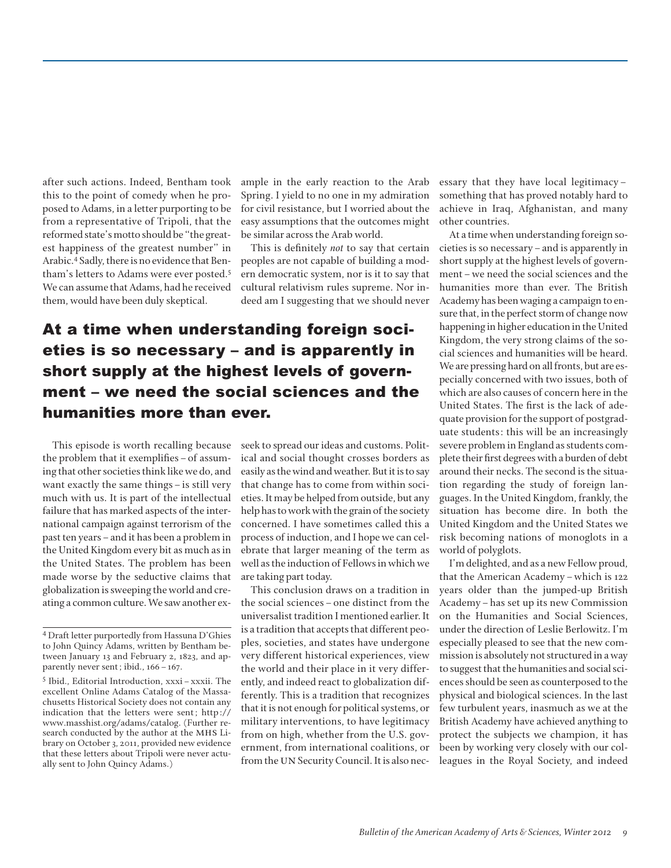after such actions. Indeed, Bentham took this to the point of comedy when he proposed to Adams, in a letter purporting to be from a representative of Tripoli, that the reformed state's motto should be "the greatest happiness of the greatest number" in Arabic.4 Sadly, there is no evidence that Bentham's letters to Adams were ever posted.<sup>5</sup> We can assume that Adams, had he received them, would have been duly skeptical.

ample in the early reaction to the Arab Spring. I yield to no one in my admiration for civil resistance, but I worried about the easy assumptions that the outcomes might be similar across the Arab world.

This is definitely *not* to say that certain peoples are not capable of building a modern democratic system, nor is it to say that cultural relativism rules supreme. Nor indeed am I suggesting that we should never

# At a time when understanding foreign societies is so necessary – and is apparently in short supply at the highest levels of government – we need the social sciences and the humanities more than ever.

This episode is worth recalling because the problem that it exemplifies - of assuming that other societies think like we do, and want exactly the same things–is still very much with us. It is part of the intellectual failure that has marked aspects of the international campaign against terrorism of the past ten years–and it has been a problem in the United Kingdom every bit as much as in the United States. The problem has been made worse by the seductive claims that globalization is sweeping the world and creating a common culture. We saw another exseek to spread our ideas and customs. Political and social thought crosses borders as easily as the wind and weather. But it is to say that change has to come from within societies. It may be helped from outside, but any help has to work with the grain of the society concerned. I have sometimes called this a process of induction, and I hope we can celebrate that larger meaning of the term as well as the induction of Fellows in which we are taking part today.

This conclusion draws on a tradition in the social sciences–one distinct from the universalist tradition I mentioned earlier. It is a tradition that accepts that different peoples, societies, and states have undergone very different historical experiences, view the world and their place in it very differently, and indeed react to globalization differently. This is a tradition that recognizes that it is not enough for political systems, or military interventions, to have legitimacy from on high, whether from the U.S. government, from international coalitions, or from the UN Security Council. It is also necessary that they have local legitimacy– something that has proved notably hard to achieve in Iraq, Afghanistan, and many other countries.

At a time when understanding foreign societies is so necessary–and is apparently in short supply at the highest levels of government–we need the social sciences and the humanities more than ever. The British Academy has been waging a campaign to ensure that, in the perfect storm of change now happening in higher education in the United Kingdom, the very strong claims of the social sciences and humanities will be heard. We are pressing hard on all fronts, but are especially concerned with two issues, both of which are also causes of concern here in the United States. The first is the lack of adequate provision for the support of postgraduate students: this will be an increasingly severe problem in England as students complete their first degrees with a burden of debt around their necks. The second is the situation regarding the study of foreign languages. In the United Kingdom, frankly, the situation has become dire. In both the United Kingdom and the United States we risk becoming nations of monoglots in a world of polyglots.

I'm delighted, and as a new Fellow proud, that the American Academy–which is 122 years older than the jumped-up British Academy–has set up its new Commission on the Humanities and Social Sciences, under the direction of Leslie Berlowitz. I'm especially pleased to see that the new commission is absolutely not structured in a way to suggest that the humanities and social sciences should be seen as counterposed to the physical and biological sciences. In the last few turbulent years, inasmuch as we at the British Academy have achieved anything to protect the subjects we champion, it has been by working very closely with our colleagues in the Royal Society, and indeed

<sup>4</sup> Draft letter purportedly from Hassuna D'Ghies to John Quincy Adams, written by Bentham between January 13 and February 2, 1823, and apparently never sent; ibid., 166–167.

<sup>5</sup> Ibid., Editorial Introduction, xxxi–xxxii. The excellent Online Adams Catalog of the Massachusetts Historical Society does not contain any indication that the letters were sent; http:// www.masshist.org/adams/catalog. (Further research conducted by the author at the MHS Library on October 3, 2011, provided new evidence that these letters about Tripoli were never actually sent to John Quincy Adams.)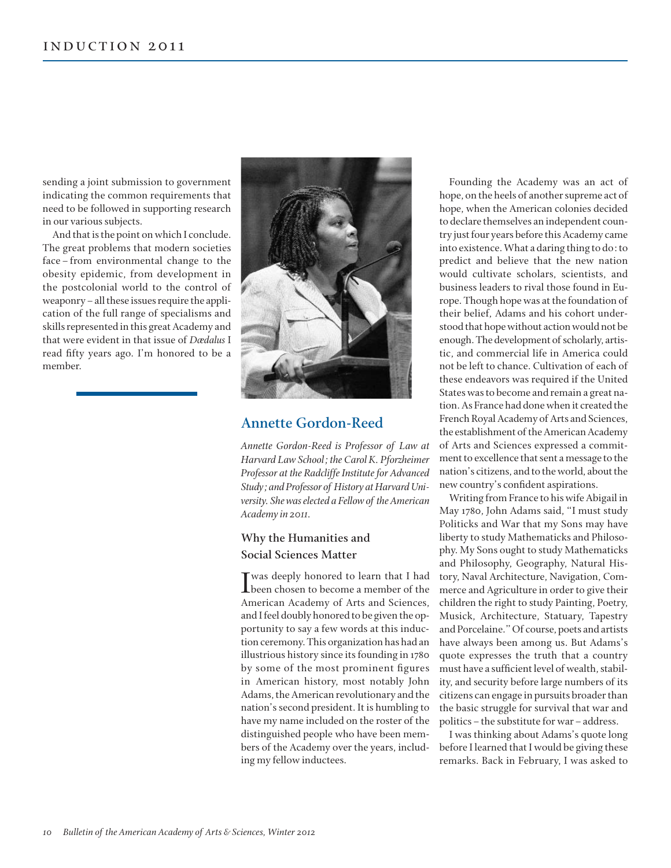sending a joint submission to government indicating the common requirements that need to be followed in supporting research in our various subjects.

And that is the point on which I conclude. The great problems that modern societies face–from environmental change to the obesity epidemic, from development in the postcolonial world to the control of weaponry–all these issues require the application of the full range of specialisms and skills represented in this great Academy and that were evident in that issue of *Dædalus* I read fifty years ago. I'm honored to be a member.



# **Annette Gordon-Reed**

*Annette Gordon-Reed is Professor of Law at Harvard Law School; the Carol K. Pforzheimer Professor at the Radcliffe Institute for Advanced Study; and Professor of History at Harvard University. She was elected a Fellow of the American Academy in 2011.*

### **Why the Humanities and Social Sciences Matter**

I was deeply honored to learn that I had<br>been chosen to become a member of the Twas deeply honored to learn that I had American Academy of Arts and Sciences, and I feel doubly honored to be given the opportunity to say a few words at this induction ceremony. This organization has had an illustrious history since its founding in 1780 by some of the most prominent figures in American history, most notably John Adams, the American revolutionary and the nation's second president. It is humbling to have my name included on the roster of the distinguished people who have been members of the Academy over the years, including my fellow inductees.

Founding the Academy was an act of hope, on the heels of another supreme act of hope, when the American colonies decided to declare themselves an independent country just four years before this Academy came into existence. What a daring thing to do: to predict and believe that the new nation would cultivate scholars, scientists, and business leaders to rival those found in Europe. Though hope was at the foundation of their belief, Adams and his cohort understood that hope without action would not be enough. The development of scholarly, artistic, and commercial life in America could not be left to chance. Cultivation of each of these endeavors was required if the United States was to become and remain a great nation. As France had done when it created the French Royal Academy of Arts and Sciences, the establishment of the American Academy of Arts and Sciences expressed a commitment to excellence that sent a message to the nation's citizens, and to the world, about the new country's confident aspirations.

Writing from France to his wife Abigail in May 1780, John Adams said, "I must study Politicks and War that my Sons may have liberty to study Mathematicks and Philosophy. My Sons ought to study Mathematicks and Philosophy, Geography, Natural History, Naval Architecture, Navigation, Commerce and Agriculture in order to give their children the right to study Painting, Poetry, Musick, Architecture, Statuary, Tapestry and Porcelaine." Of course, poets and artists have always been among us. But Adams's quote expresses the truth that a country must have a sufficient level of wealth, stability, and security before large numbers of its citizens can engage in pursuits broader than the basic struggle for survival that war and politics–the substitute for war–address.

I was thinking about Adams's quote long before I learned that I would be giving these remarks. Back in February, I was asked to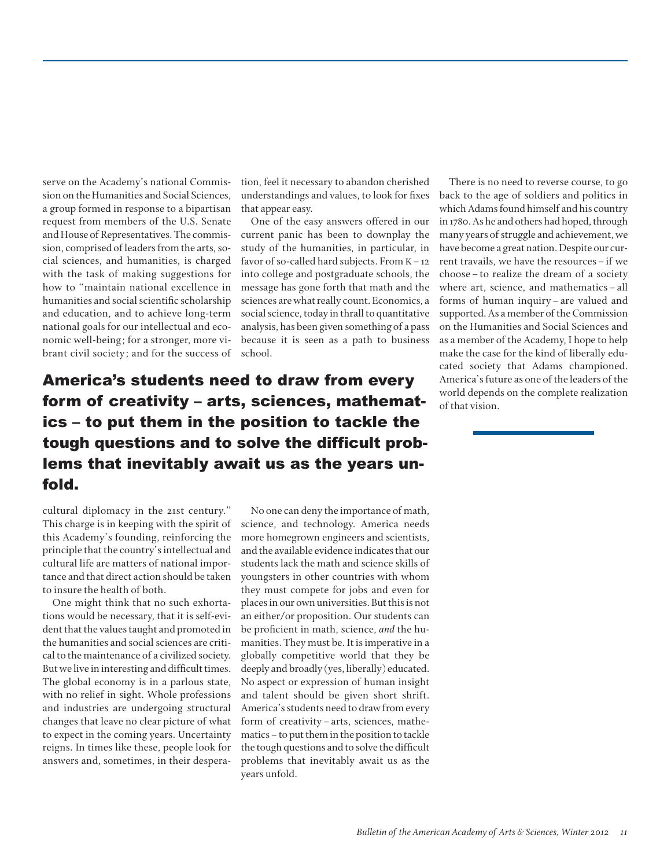serve on the Academy's national Commission on the Humanities and Social Sciences, a group formed in response to a bipartisan request from members of the U.S. Senate and House of Representatives. The commission, comprised of leaders from the arts, social sciences, and humanities, is charged with the task of making suggestions for how to "maintain national excellence in humanities and social scientific scholarship and education, and to achieve long-term national goals for our intellectual and economic well-being; for a stronger, more vibrant civil society; and for the success of tion, feel it necessary to abandon cherished understandings and values, to look for fixes that appear easy.

One of the easy answers offered in our current panic has been to downplay the study of the humanities, in particular, in favor of so-called hard subjects. From  $K-12$ into college and postgraduate schools, the message has gone forth that math and the sciences are what really count. Economics, a social science, today in thrall to quantitative analysis, has been given something of a pass because it is seen as a path to business school.

America's students need to draw from every form of creativity – arts, sciences, mathematics – to put them in the position to tackle the tough questions and to solve the difficult problems that inevitably await us as the years unfold.

There is no need to reverse course, to go back to the age of soldiers and politics in which Adams found himself and his country in 1780. As he and others had hoped, through many years of struggle and achievement, we have become a great nation. Despite our current travails, we have the resources–if we choose–to realize the dream of a society where art, science, and mathematics–all forms of human inquiry–are valued and supported. As a member of the Commission on the Humanities and Social Sciences and as a member of the Academy, I hope to help make the case for the kind of liberally educated society that Adams championed. America's future as one of the leaders of the world depends on the complete realization of that vision.

cultural diplomacy in the 21st century." This charge is in keeping with the spirit of this Academy's founding, reinforcing the principle that the country's intellectual and cultural life are matters of national importance and that direct action should be taken to insure the health of both.

One might think that no such exhortations would be necessary, that it is self-evident that the values taught and promoted in the humanities and social sciences are critical to the maintenance of a civilized society. But we live in interesting and difficult times. The global economy is in a parlous state, with no relief in sight. Whole professions and industries are undergoing structural changes that leave no clear picture of what to expect in the coming years. Uncertainty reigns. In times like these, people look for answers and, sometimes, in their despera-

No one can deny the importance of math, science, and technology. America needs more homegrown engineers and scientists, and the available evidence indicates that our students lack the math and science skills of youngsters in other countries with whom they must compete for jobs and even for places in our own universities. But this is not an either/or proposition. Our students can be proficient in math, science, *and* the humanities. They must be. It is imperative in a globally competitive world that they be deeply and broadly (yes, liberally) educated. No aspect or expression of human insight and talent should be given short shrift. America's students need to draw from every form of creativity–arts, sciences, mathematics–to put them in the position to tackle the tough questions and to solve the difficult problems that inevitably await us as the years unfold.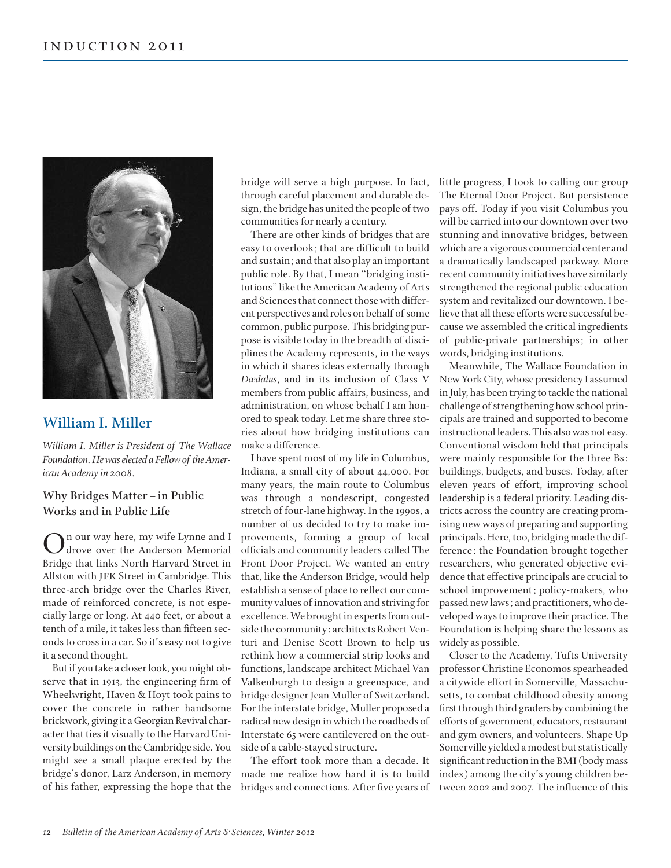

# **William I. Miller**

*William I. Miller is President of The Wallace Foundation. He was elected a Fellow of the American Academy in 2008.*

### **Why Bridges Matter–in Public Works and in Public Life**

n our way here, my wife Lynne and I drove over the Anderson Memorial Bridge that links North Harvard Street in Allston with JFK Street in Cambridge. This three-arch bridge over the Charles River, made of reinforced concrete, is not especially large or long. At 440 feet, or about a tenth of a mile, it takes less than fifteen seconds to cross in a car. So it's easy not to give it a second thought.

But if you take a closer look, you might observe that in 1913, the engineering firm of Wheelwright, Haven & Hoyt took pains to cover the concrete in rather handsome brickwork, giving it a Georgian Revival character that ties it visually to the Harvard University buildings on the Cambridge side. You might see a small plaque erected by the bridge's donor, Larz Anderson, in memory of his father, expressing the hope that the bridge will serve a high purpose. In fact, through careful placement and durable design, the bridge has united the people of two communities for nearly a century.

There are other kinds of bridges that are easy to overlook; that are difficult to build and sustain; and that also play an important public role. By that, I mean "bridging institutions" like the American Academy of Arts and Sciences that connect those with different perspectives and roles on behalf of some common, public purpose. This bridging purpose is visible today in the breadth of disciplines the Academy represents, in the ways in which it shares ideas externally through *Dædalus*, and in its inclusion of Class V members from public affairs, business, and administration, on whose behalf I am honored to speak today. Let me share three stories about how bridging institutions can make a difference.

I have spent most of my life in Columbus, Indiana, a small city of about 44,000. For many years, the main route to Columbus was through a nondescript, congested stretch of four-lane highway. In the 1990s, a number of us decided to try to make improvements, forming a group of local officials and community leaders called The Front Door Project. We wanted an entry that, like the Anderson Bridge, would help establish a sense of place to reflect our community values of innovation and striving for excellence. We brought in experts from outside the community: architects Robert Venturi and Denise Scott Brown to help us rethink how a commercial strip looks and functions, landscape architect Michael Van Valkenburgh to design a greenspace, and bridge designer Jean Muller of Switzerland. For the interstate bridge, Muller proposed a radical new design in which the roadbeds of Interstate 65 were cantilevered on the outside of a cable-stayed structure.

The effort took more than a decade. It made me realize how hard it is to build bridges and connections. After five years of little progress, I took to calling our group The Eternal Door Project. But persistence pays off. Today if you visit Columbus you will be carried into our downtown over two stunning and innovative bridges, between which are a vigorous commercial center and a dramatically landscaped parkway. More recent community initiatives have similarly strengthened the regional public education system and revitalized our downtown. I believe that all these efforts were successful because we assembled the critical ingredients of public-private partnerships; in other words, bridging institutions.

Meanwhile, The Wallace Foundation in New York City, whose presidency I assumed in July, has been trying to tackle the national challenge of strengthening how school principals are trained and supported to become instructional leaders. This also was not easy. Conventional wisdom held that principals were mainly responsible for the three Bs: buildings, budgets, and buses. Today, after eleven years of effort, improving school leadership is a federal priority. Leading districts across the country are creating promising new ways of preparing and supporting principals. Here, too, bridging made the difference: the Foundation brought together researchers, who generated objective evidence that effective principals are crucial to school improvement; policy-makers, who passed new laws; and practitioners, who developed ways to improve their practice. The Foundation is helping share the lessons as widely as possible.

Closer to the Academy, Tufts University professor Christine Economos spearheaded a citywide effort in Somerville, Massachusetts, to combat childhood obesity among first through third graders by combining the efforts of government, educators, restaurant and gym owners, and volunteers. Shape Up Somerville yielded a modest but statistically significant reduction in the BMI (body mass index) among the city's young children between 2002 and 2007. The influence of this